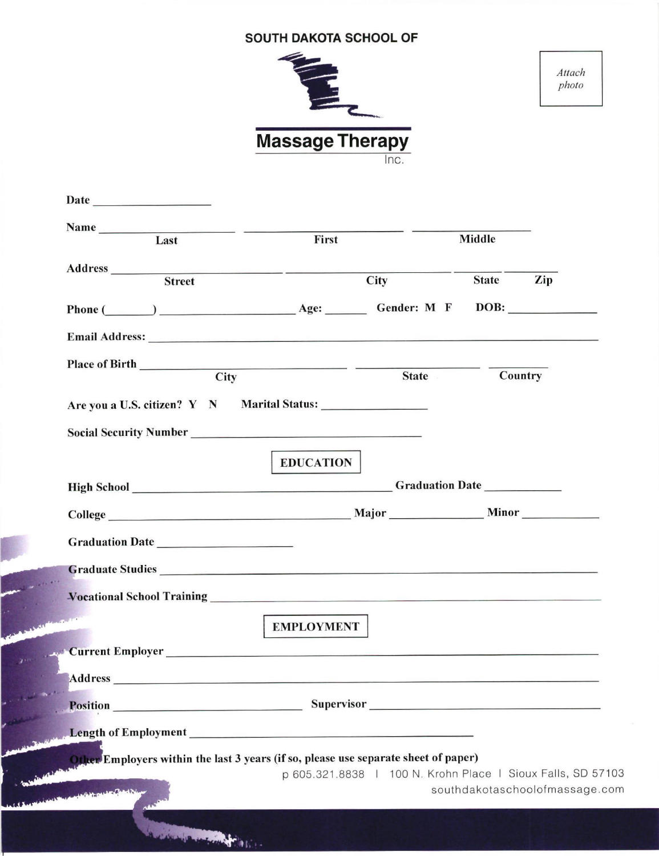## **SOUTH DAKOTA SCHOOL OF**

| <b>Massage Therapy</b> |  |
|------------------------|--|
| nc                     |  |

Attach photo

|                 | $Name \nLast \n$ | First                                                                                                                                                                                                                               |                                                             | <b>Middle</b> |                                |
|-----------------|------------------|-------------------------------------------------------------------------------------------------------------------------------------------------------------------------------------------------------------------------------------|-------------------------------------------------------------|---------------|--------------------------------|
|                 |                  |                                                                                                                                                                                                                                     |                                                             |               |                                |
|                 | <b>Street</b>    |                                                                                                                                                                                                                                     | <b>City</b>                                                 | State Zip     |                                |
|                 |                  |                                                                                                                                                                                                                                     |                                                             |               |                                |
|                 |                  | Email Address: No. 2016. The Commission of the Commission of the Commission of the Commission of the Commission of the Commission of the Commission of the Commission of the Commission of the Commission of the Commission of      |                                                             |               |                                |
|                 |                  | Place of Birth City                                                                                                                                                                                                                 |                                                             |               |                                |
|                 |                  |                                                                                                                                                                                                                                     | <b>State</b>                                                | Country       |                                |
|                 |                  | Are you a U.S. citizen? Y N Marital Status:                                                                                                                                                                                         |                                                             |               |                                |
|                 |                  | Social Security Number<br><u>Social Security Number</u>                                                                                                                                                                             |                                                             |               |                                |
|                 |                  | <b>EDUCATION</b>                                                                                                                                                                                                                    |                                                             |               |                                |
|                 |                  |                                                                                                                                                                                                                                     |                                                             |               |                                |
|                 |                  |                                                                                                                                                                                                                                     |                                                             |               |                                |
|                 |                  |                                                                                                                                                                                                                                     |                                                             |               |                                |
|                 |                  | Graduate Studies <b>Example 2018</b> and 2018 and 2019 and 2019 and 2019 and 2019 and 2019 and 2019 and 2019 and 2019 and 2019 and 2019 and 2019 and 2019 and 2019 and 2019 and 2019 and 2019 and 2019 and 2019 and 2019 and 2019 a |                                                             |               |                                |
|                 |                  |                                                                                                                                                                                                                                     |                                                             |               |                                |
|                 |                  | <b>EMPLOYMENT</b>                                                                                                                                                                                                                   |                                                             |               |                                |
|                 |                  | <b>Current Employer</b> <u>Current Employer</u>                                                                                                                                                                                     |                                                             |               |                                |
| <b>Address</b>  |                  | and the state of the contract of the state of the state of the state of the state of the state of the state of                                                                                                                      |                                                             |               |                                |
| <b>Position</b> |                  | Supervisor Manual Communication of the Supervisor Communication of the Supervisor                                                                                                                                                   |                                                             |               |                                |
|                 |                  |                                                                                                                                                                                                                                     |                                                             |               |                                |
|                 |                  |                                                                                                                                                                                                                                     |                                                             |               |                                |
|                 |                  | Other Employers within the last 3 years (if so, please use separate sheet of paper)                                                                                                                                                 |                                                             |               |                                |
|                 |                  |                                                                                                                                                                                                                                     | p 605.321.8838   100 N. Krohn Place   Sioux Falls, SD 57103 |               |                                |
|                 |                  |                                                                                                                                                                                                                                     |                                                             |               | southdakotaschoolofmassage.com |
|                 |                  |                                                                                                                                                                                                                                     |                                                             |               |                                |